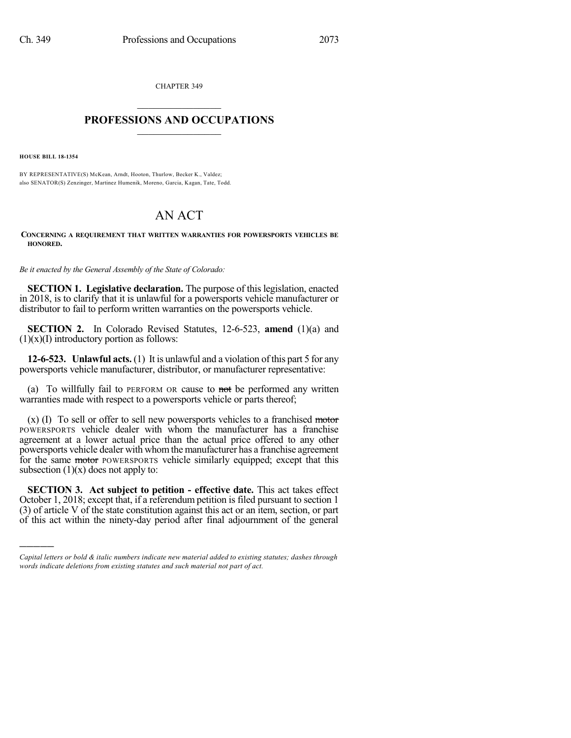CHAPTER 349  $\mathcal{L}_\text{max}$  . The set of the set of the set of the set of the set of the set of the set of the set of the set of the set of the set of the set of the set of the set of the set of the set of the set of the set of the set

## **PROFESSIONS AND OCCUPATIONS**  $\frac{1}{2}$  ,  $\frac{1}{2}$  ,  $\frac{1}{2}$  ,  $\frac{1}{2}$  ,  $\frac{1}{2}$  ,  $\frac{1}{2}$  ,  $\frac{1}{2}$

**HOUSE BILL 18-1354**

)))))

BY REPRESENTATIVE(S) McKean, Arndt, Hooton, Thurlow, Becker K., Valdez; also SENATOR(S) Zenzinger, Martinez Humenik, Moreno, Garcia, Kagan, Tate, Todd.

## AN ACT

**CONCERNING A REQUIREMENT THAT WRITTEN WARRANTIES FOR POWERSPORTS VEHICLES BE HONORED.**

*Be it enacted by the General Assembly of the State of Colorado:*

**SECTION 1. Legislative declaration.** The purpose of this legislation, enacted in 2018, is to clarify that it is unlawful for a powersports vehicle manufacturer or distributor to fail to perform written warranties on the powersports vehicle.

**SECTION 2.** In Colorado Revised Statutes, 12-6-523, **amend** (1)(a) and  $(1)(x)(I)$  introductory portion as follows:

**12-6-523. Unlawful acts.** (1) It is unlawful and a violation of this part 5 for any powersports vehicle manufacturer, distributor, or manufacturer representative:

(a) To willfully fail to PERFORM OR cause to not be performed any written warranties made with respect to a powersports vehicle or parts thereof;

 $(x)$  (I) To sell or offer to sell new powersports vehicles to a franchised motor POWERSPORTS vehicle dealer with whom the manufacturer has a franchise agreement at a lower actual price than the actual price offered to any other powersports vehicle dealer with whomthe manufacturer has a franchise agreement for the same motor POWERSPORTS vehicle similarly equipped; except that this subsection  $(1)(x)$  does not apply to:

**SECTION 3. Act subject to petition - effective date.** This act takes effect October 1, 2018; except that, if a referendum petition is filed pursuant to section 1 (3) of article V of the state constitution against this act or an item, section, or part of this act within the ninety-day period after final adjournment of the general

*Capital letters or bold & italic numbers indicate new material added to existing statutes; dashes through words indicate deletions from existing statutes and such material not part of act.*